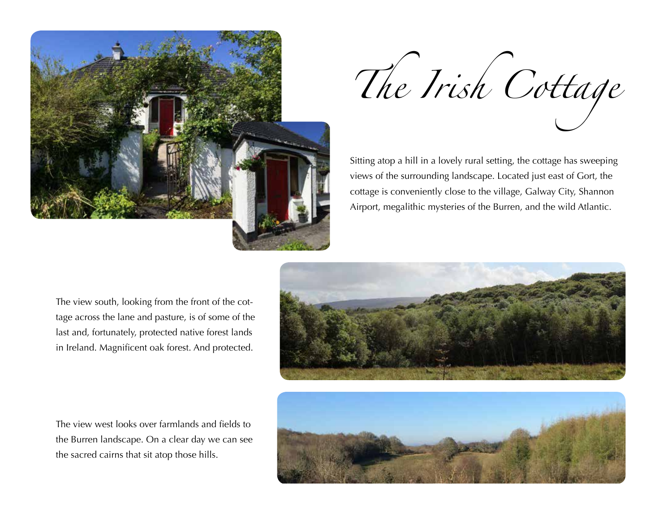

*The Irish Cottage*

Sitting atop a hill in a lovely rural setting, the cottage has sweeping views of the surrounding landscape. Located just east of Gort, the cottage is conveniently close to the village, Galway City, Shannon Airport, megalithic mysteries of the Burren, and the wild Atlantic.

The view south, looking from the front of the cottage across the lane and pasture, is of some of the last and, fortunately, protected native forest lands in Ireland. Magnificent oak forest. And protected.

The view west looks over farmlands and fields to the Burren landscape. On a clear day we can see the sacred cairns that sit atop those hills.